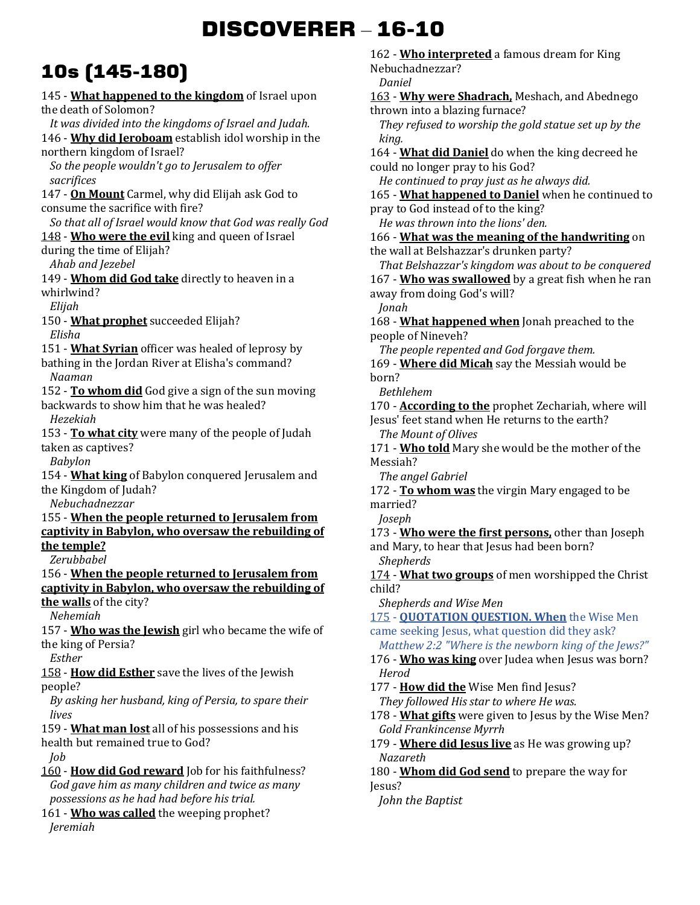# **DISCOVERER** – **16-10**

## **10s (145-180)**

145 - **What happened to the kingdom** of Israel upon the death of Solomon? *It was divided into the kingdoms of Israel and Judah.*  146 - **Why did Jeroboam** establish idol worship in the northern kingdom of Israel? *So the people wouldn't go to Jerusalem to offer sacrifices*  147 - **On Mount** Carmel, why did Elijah ask God to consume the sacrifice with fire? *So that all of Israel would know that God was really God*  148 - **Who were the evil** king and queen of Israel during the time of Elijah? *Ahab and Jezebel*  149 - **Whom did God take** directly to heaven in a whirlwind? *Elijah*  150 - **What prophet** succeeded Elijah? *Elisha*  151 - **What Syrian** officer was healed of leprosy by bathing in the Jordan River at Elisha's command? *Naaman*  152 - **To whom did** God give a sign of the sun moving backwards to show him that he was healed? *Hezekiah*  153 - **To what city** were many of the people of Judah taken as captives? *Babylon*  154 - **What king** of Babylon conquered Jerusalem and the Kingdom of Judah? *Nebuchadnezzar*  155 - **When the people returned to Jerusalem from captivity in Babylon, who oversaw the rebuilding of the temple?** *Zerubbabel*  156 - **When the people returned to Jerusalem from captivity in Babylon, who oversaw the rebuilding of the walls** of the city? *Nehemiah*  157 - **Who was the Jewish** girl who became the wife of the king of Persia? *Esther*  158 - **How did Esther** save the lives of the Jewish people? *By asking her husband, king of Persia, to spare their lives*  159 - **What man lost** all of his possessions and his health but remained true to God? *Job*  160 - **How did God reward** Job for his faithfulness? *God gave him as many children and twice as many possessions as he had had before his trial.* 

161 - **Who was called** the weeping prophet? *Jeremiah* 

162 - **Who interpreted** a famous dream for King Nebuchadnezzar? *Daniel*  163 - **Why were Shadrach,** Meshach, and Abednego thrown into a blazing furnace? *They refused to worship the gold statue set up by the king.*  164 - **What did Daniel** do when the king decreed he could no longer pray to his God? *He continued to pray just as he always did.*  165 - **What happened to Daniel** when he continued to pray to God instead of to the king? *He was thrown into the lions' den.*  166 - **What was the meaning of the handwriting** on the wall at Belshazzar's drunken party? *That Belshazzar's kingdom was about to be conquered*  167 - **Who was swallowed** by a great fish when he ran away from doing God's will? *Jonah*  168 - **What happened when** Jonah preached to the people of Nineveh? *The people repented and God forgave them.*  169 - **Where did Micah** say the Messiah would be born? *Bethlehem*  170 - **According to the** prophet Zechariah, where will Jesus' feet stand when He returns to the earth? *The Mount of Olives*  171 - **Who told** Mary she would be the mother of the Messiah? *The angel Gabriel*  172 - **To whom was** the virgin Mary engaged to be married? *Joseph*  173 - **Who were the first persons,** other than Joseph and Mary, to hear that Jesus had been born? *Shepherds*  174 - **What two groups** of men worshipped the Christ child? *Shepherds and Wise Men*  175 - **QUOTATION QUESTION. When** the Wise Men came seeking Jesus, what question did they ask? *Matthew 2:2 "Where is the newborn king of the Jews?"* 176 - **Who was king** over Judea when Jesus was born? *Herod*  177 - **How did the** Wise Men find Jesus? *They followed His star to where He was.*  178 - **What gifts** were given to Jesus by the Wise Men? *Gold Frankincense Myrrh*  179 - **Where did Jesus live** as He was growing up? *Nazareth*  180 - **Whom did God send** to prepare the way for Jesus? *John the Baptist*